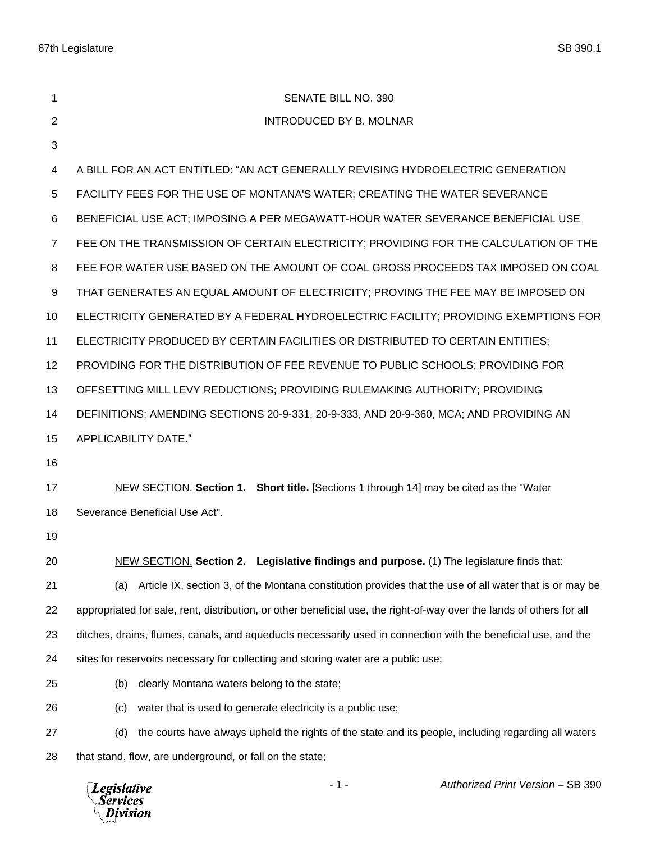| 1              | <b>SENATE BILL NO. 390</b>                                                                                            |
|----------------|-----------------------------------------------------------------------------------------------------------------------|
| 2              | <b>INTRODUCED BY B. MOLNAR</b>                                                                                        |
| 3              |                                                                                                                       |
| 4              | A BILL FOR AN ACT ENTITLED: "AN ACT GENERALLY REVISING HYDROELECTRIC GENERATION                                       |
| 5              | FACILITY FEES FOR THE USE OF MONTANA'S WATER; CREATING THE WATER SEVERANCE                                            |
| 6              | BENEFICIAL USE ACT; IMPOSING A PER MEGAWATT-HOUR WATER SEVERANCE BENEFICIAL USE                                       |
| $\overline{7}$ | FEE ON THE TRANSMISSION OF CERTAIN ELECTRICITY; PROVIDING FOR THE CALCULATION OF THE                                  |
| 8              | FEE FOR WATER USE BASED ON THE AMOUNT OF COAL GROSS PROCEEDS TAX IMPOSED ON COAL                                      |
| 9              | THAT GENERATES AN EQUAL AMOUNT OF ELECTRICITY; PROVING THE FEE MAY BE IMPOSED ON                                      |
| 10             | ELECTRICITY GENERATED BY A FEDERAL HYDROELECTRIC FACILITY; PROVIDING EXEMPTIONS FOR                                   |
| 11             | ELECTRICITY PRODUCED BY CERTAIN FACILITIES OR DISTRIBUTED TO CERTAIN ENTITIES;                                        |
| 12             | PROVIDING FOR THE DISTRIBUTION OF FEE REVENUE TO PUBLIC SCHOOLS; PROVIDING FOR                                        |
| 13             | OFFSETTING MILL LEVY REDUCTIONS; PROVIDING RULEMAKING AUTHORITY; PROVIDING                                            |
| 14             | DEFINITIONS; AMENDING SECTIONS 20-9-331, 20-9-333, AND 20-9-360, MCA; AND PROVIDING AN                                |
| 15             | APPLICABILITY DATE."                                                                                                  |
| 16             |                                                                                                                       |
| 17             | NEW SECTION. Section 1. Short title. [Sections 1 through 14] may be cited as the "Water                               |
| 18             | Severance Beneficial Use Act".                                                                                        |
| 19             |                                                                                                                       |
| 20             | NEW SECTION. Section 2. Legislative findings and purpose. (1) The legislature finds that:                             |
| 21             | Article IX, section 3, of the Montana constitution provides that the use of all water that is or may be<br>(a)        |
| 22             | appropriated for sale, rent, distribution, or other beneficial use, the right-of-way over the lands of others for all |
| 23             | ditches, drains, flumes, canals, and aqueducts necessarily used in connection with the beneficial use, and the        |
| 24             | sites for reservoirs necessary for collecting and storing water are a public use;                                     |
| 25             | clearly Montana waters belong to the state;<br>(b)                                                                    |
| 26             | water that is used to generate electricity is a public use;<br>(c)                                                    |
| 27             | the courts have always upheld the rights of the state and its people, including regarding all waters<br>(d)           |
| 28             | that stand, flow, are underground, or fall on the state;                                                              |

*Legislative*<br>Services<br>*Division*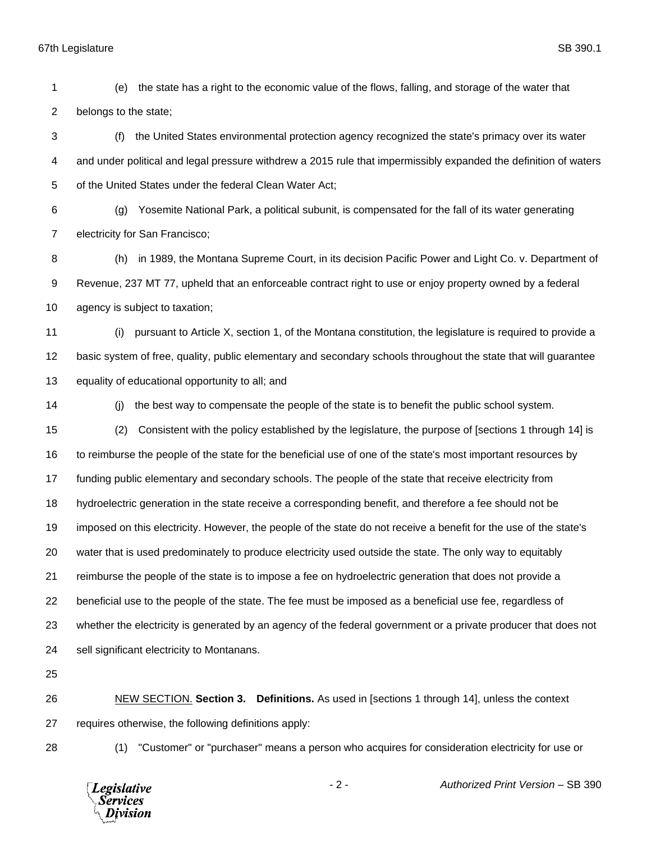(e) the state has a right to the economic value of the flows, falling, and storage of the water that belongs to the state;

 (f) the United States environmental protection agency recognized the state's primacy over its water and under political and legal pressure withdrew a 2015 rule that impermissibly expanded the definition of waters of the United States under the federal Clean Water Act;

 (g) Yosemite National Park, a political subunit, is compensated for the fall of its water generating electricity for San Francisco;

8 (h) in 1989, the Montana Supreme Court, in its decision Pacific Power and Light Co. v. Department of Revenue, 237 MT 77, upheld that an enforceable contract right to use or enjoy property owned by a federal agency is subject to taxation;

 (i) pursuant to Article X, section 1, of the Montana constitution, the legislature is required to provide a basic system of free, quality, public elementary and secondary schools throughout the state that will guarantee equality of educational opportunity to all; and

(j) the best way to compensate the people of the state is to benefit the public school system.

 (2) Consistent with the policy established by the legislature, the purpose of [sections 1 through 14] is to reimburse the people of the state for the beneficial use of one of the state's most important resources by funding public elementary and secondary schools. The people of the state that receive electricity from hydroelectric generation in the state receive a corresponding benefit, and therefore a fee should not be imposed on this electricity. However, the people of the state do not receive a benefit for the use of the state's water that is used predominately to produce electricity used outside the state. The only way to equitably reimburse the people of the state is to impose a fee on hydroelectric generation that does not provide a beneficial use to the people of the state. The fee must be imposed as a beneficial use fee, regardless of whether the electricity is generated by an agency of the federal government or a private producer that does not sell significant electricity to Montanans.

 NEW SECTION. **Section 3. Definitions.** As used in [sections 1 through 14], unless the context requires otherwise, the following definitions apply:

(1) "Customer" or "purchaser" means a person who acquires for consideration electricity for use or

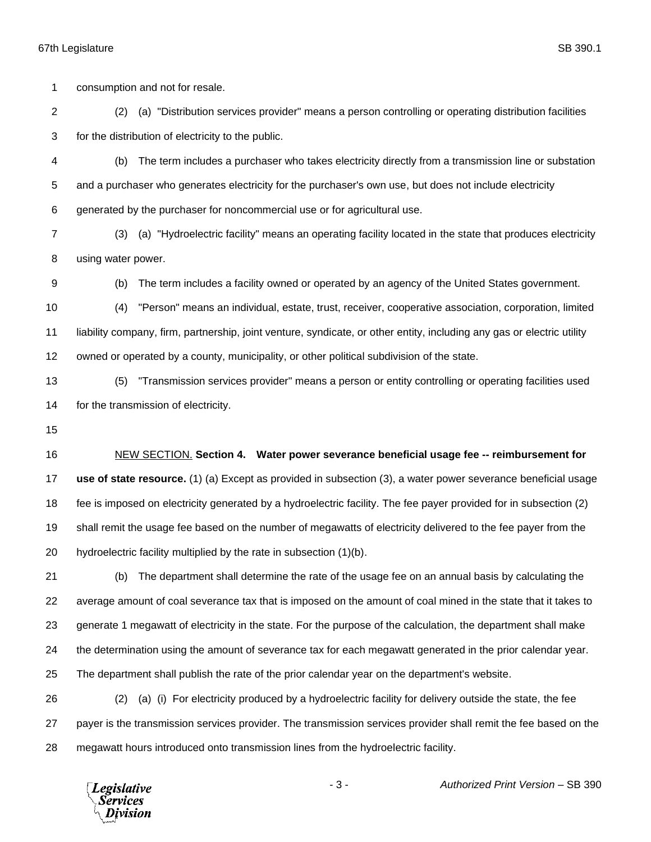consumption and not for resale.

 (2) (a) "Distribution services provider" means a person controlling or operating distribution facilities for the distribution of electricity to the public.

 (b) The term includes a purchaser who takes electricity directly from a transmission line or substation and a purchaser who generates electricity for the purchaser's own use, but does not include electricity generated by the purchaser for noncommercial use or for agricultural use.

 (3) (a) "Hydroelectric facility" means an operating facility located in the state that produces electricity using water power.

(b) The term includes a facility owned or operated by an agency of the United States government.

 (4) "Person" means an individual, estate, trust, receiver, cooperative association, corporation, limited liability company, firm, partnership, joint venture, syndicate, or other entity, including any gas or electric utility owned or operated by a county, municipality, or other political subdivision of the state.

 (5) "Transmission services provider" means a person or entity controlling or operating facilities used for the transmission of electricity.

NEW SECTION. **Section 4. Water power severance beneficial usage fee -- reimbursement for** 

 **use of state resource.** (1) (a) Except as provided in subsection (3), a water power severance beneficial usage fee is imposed on electricity generated by a hydroelectric facility. The fee payer provided for in subsection (2) shall remit the usage fee based on the number of megawatts of electricity delivered to the fee payer from the hydroelectric facility multiplied by the rate in subsection (1)(b).

 (b) The department shall determine the rate of the usage fee on an annual basis by calculating the average amount of coal severance tax that is imposed on the amount of coal mined in the state that it takes to generate 1 megawatt of electricity in the state. For the purpose of the calculation, the department shall make the determination using the amount of severance tax for each megawatt generated in the prior calendar year. The department shall publish the rate of the prior calendar year on the department's website.

 (2) (a) (i) For electricity produced by a hydroelectric facility for delivery outside the state, the fee payer is the transmission services provider. The transmission services provider shall remit the fee based on the megawatt hours introduced onto transmission lines from the hydroelectric facility.

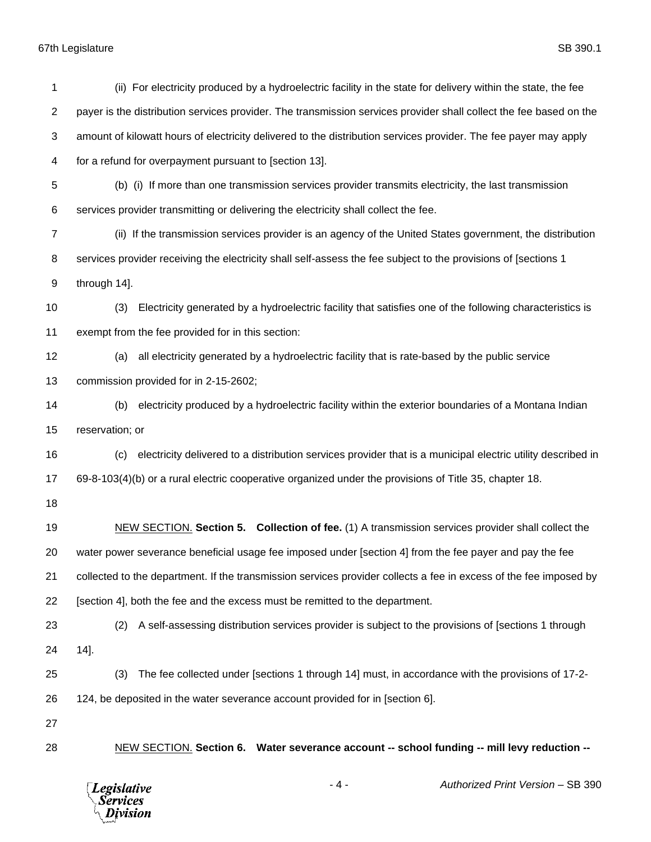| 1              | (ii) For electricity produced by a hydroelectric facility in the state for delivery within the state, the fee      |
|----------------|--------------------------------------------------------------------------------------------------------------------|
| $\overline{c}$ | payer is the distribution services provider. The transmission services provider shall collect the fee based on the |
| 3              | amount of kilowatt hours of electricity delivered to the distribution services provider. The fee payer may apply   |
| 4              | for a refund for overpayment pursuant to [section 13].                                                             |
| 5              | (b) (i) If more than one transmission services provider transmits electricity, the last transmission               |
| 6              | services provider transmitting or delivering the electricity shall collect the fee.                                |
| 7              | (ii) If the transmission services provider is an agency of the United States government, the distribution          |
| 8              | services provider receiving the electricity shall self-assess the fee subject to the provisions of [sections 1     |
| 9              | through 14].                                                                                                       |
| 10             | Electricity generated by a hydroelectric facility that satisfies one of the following characteristics is<br>(3)    |
| 11             | exempt from the fee provided for in this section:                                                                  |
| 12             | all electricity generated by a hydroelectric facility that is rate-based by the public service<br>(a)              |
| 13             | commission provided for in 2-15-2602;                                                                              |
| 14             | electricity produced by a hydroelectric facility within the exterior boundaries of a Montana Indian<br>(b)         |
| 15             | reservation; or                                                                                                    |
| 16             | electricity delivered to a distribution services provider that is a municipal electric utility described in<br>(c) |
| 17             | 69-8-103(4)(b) or a rural electric cooperative organized under the provisions of Title 35, chapter 18.             |
| 18             |                                                                                                                    |
| 19             | NEW SECTION. Section 5. Collection of fee. (1) A transmission services provider shall collect the                  |
| 20             | water power severance beneficial usage fee imposed under [section 4] from the fee payer and pay the fee            |
| 21             | collected to the department. If the transmission services provider collects a fee in excess of the fee imposed by  |
| 22             | [section 4], both the fee and the excess must be remitted to the department.                                       |
| 23             | A self-assessing distribution services provider is subject to the provisions of [sections 1 through<br>(2)         |
| 24             | 14].                                                                                                               |
| 25             | The fee collected under [sections 1 through 14] must, in accordance with the provisions of 17-2-<br>(3)            |
| 26             | 124, be deposited in the water severance account provided for in [section 6].                                      |
| 27             |                                                                                                                    |
| 28             | NEW SECTION. Section 6. Water severance account -- school funding -- mill levy reduction --                        |

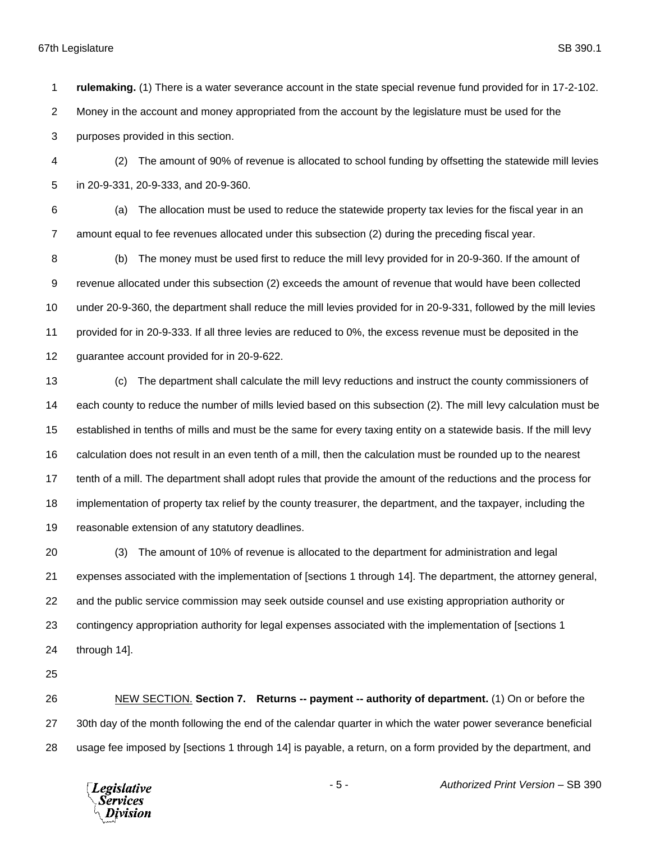**rulemaking.** (1) There is a water severance account in the state special revenue fund provided for in 17-2-102. Money in the account and money appropriated from the account by the legislature must be used for the purposes provided in this section.

 (2) The amount of 90% of revenue is allocated to school funding by offsetting the statewide mill levies in 20-9-331, 20-9-333, and 20-9-360.

 (a) The allocation must be used to reduce the statewide property tax levies for the fiscal year in an amount equal to fee revenues allocated under this subsection (2) during the preceding fiscal year.

 (b) The money must be used first to reduce the mill levy provided for in 20-9-360. If the amount of revenue allocated under this subsection (2) exceeds the amount of revenue that would have been collected under 20-9-360, the department shall reduce the mill levies provided for in 20-9-331, followed by the mill levies provided for in 20-9-333. If all three levies are reduced to 0%, the excess revenue must be deposited in the guarantee account provided for in 20-9-622.

 (c) The department shall calculate the mill levy reductions and instruct the county commissioners of each county to reduce the number of mills levied based on this subsection (2). The mill levy calculation must be established in tenths of mills and must be the same for every taxing entity on a statewide basis. If the mill levy calculation does not result in an even tenth of a mill, then the calculation must be rounded up to the nearest tenth of a mill. The department shall adopt rules that provide the amount of the reductions and the process for implementation of property tax relief by the county treasurer, the department, and the taxpayer, including the reasonable extension of any statutory deadlines.

 (3) The amount of 10% of revenue is allocated to the department for administration and legal expenses associated with the implementation of [sections 1 through 14]. The department, the attorney general, and the public service commission may seek outside counsel and use existing appropriation authority or contingency appropriation authority for legal expenses associated with the implementation of [sections 1 through 14].

 NEW SECTION. **Section 7. Returns -- payment -- authority of department.** (1) On or before the 30th day of the month following the end of the calendar quarter in which the water power severance beneficial usage fee imposed by [sections 1 through 14] is payable, a return, on a form provided by the department, and



- 5 - *Authorized Print Version* – SB 390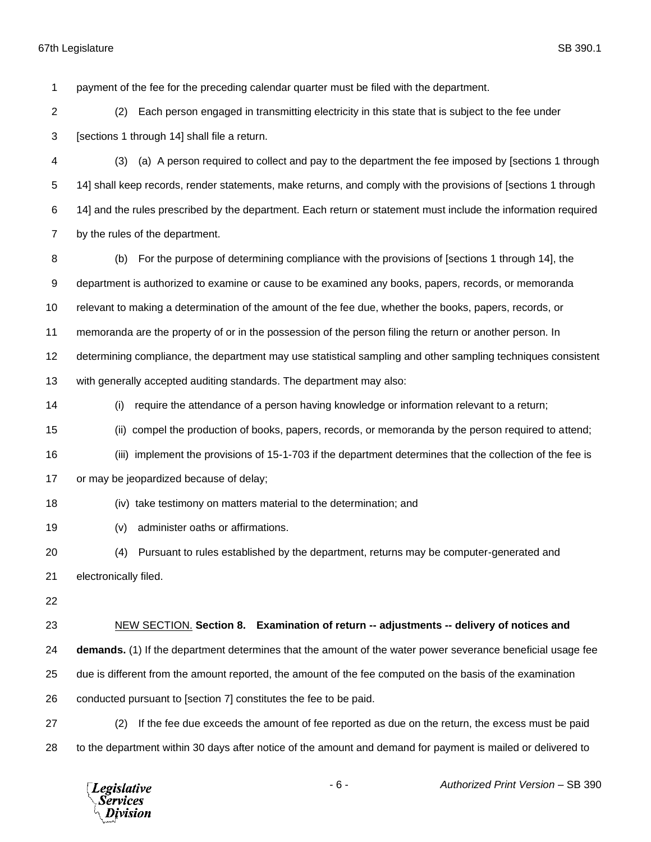payment of the fee for the preceding calendar quarter must be filed with the department.

 (2) Each person engaged in transmitting electricity in this state that is subject to the fee under [sections 1 through 14] shall file a return.

 (3) (a) A person required to collect and pay to the department the fee imposed by [sections 1 through 14] shall keep records, render statements, make returns, and comply with the provisions of [sections 1 through 14] and the rules prescribed by the department. Each return or statement must include the information required by the rules of the department.

 (b) For the purpose of determining compliance with the provisions of [sections 1 through 14], the department is authorized to examine or cause to be examined any books, papers, records, or memoranda relevant to making a determination of the amount of the fee due, whether the books, papers, records, or memoranda are the property of or in the possession of the person filing the return or another person. In

determining compliance, the department may use statistical sampling and other sampling techniques consistent

with generally accepted auditing standards. The department may also:

(i) require the attendance of a person having knowledge or information relevant to a return;

(ii) compel the production of books, papers, records, or memoranda by the person required to attend;

(iii) implement the provisions of 15-1-703 if the department determines that the collection of the fee is

or may be jeopardized because of delay;

(iv) take testimony on matters material to the determination; and

(v) administer oaths or affirmations.

(4) Pursuant to rules established by the department, returns may be computer-generated and

electronically filed.

NEW SECTION. **Section 8. Examination of return -- adjustments -- delivery of notices and** 

**demands.** (1) If the department determines that the amount of the water power severance beneficial usage fee

due is different from the amount reported, the amount of the fee computed on the basis of the examination

conducted pursuant to [section 7] constitutes the fee to be paid.

 (2) If the fee due exceeds the amount of fee reported as due on the return, the excess must be paid to the department within 30 days after notice of the amount and demand for payment is mailed or delivered to

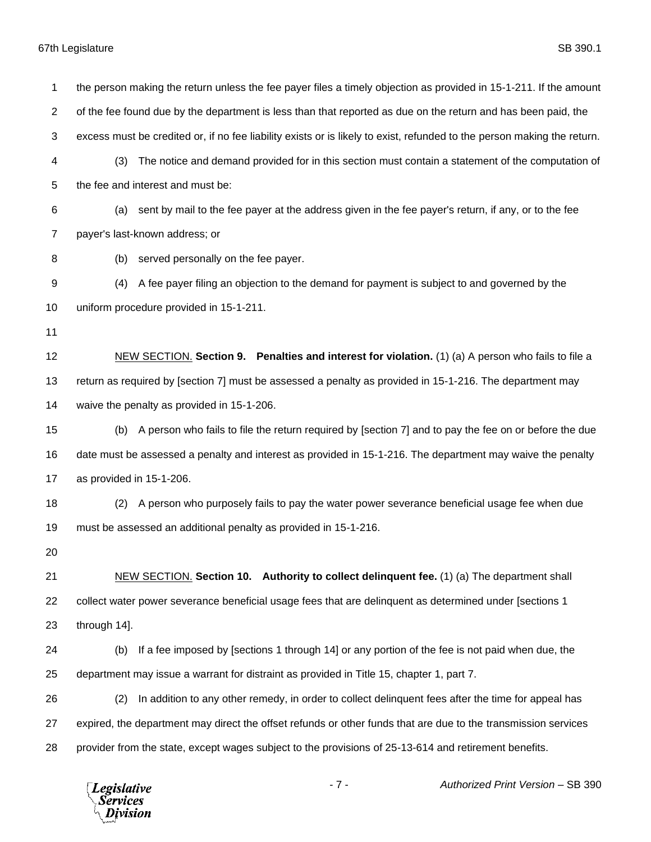the person making the return unless the fee payer files a timely objection as provided in 15-1-211. If the amount 2 of the fee found due by the department is less than that reported as due on the return and has been paid, the excess must be credited or, if no fee liability exists or is likely to exist, refunded to the person making the return. (3) The notice and demand provided for in this section must contain a statement of the computation of the fee and interest and must be: (a) sent by mail to the fee payer at the address given in the fee payer's return, if any, or to the fee payer's last-known address; or (b) served personally on the fee payer. (4) A fee payer filing an objection to the demand for payment is subject to and governed by the uniform procedure provided in 15-1-211. NEW SECTION. **Section 9. Penalties and interest for violation.** (1) (a) A person who fails to file a return as required by [section 7] must be assessed a penalty as provided in 15-1-216. The department may waive the penalty as provided in 15-1-206. (b) A person who fails to file the return required by [section 7] and to pay the fee on or before the due date must be assessed a penalty and interest as provided in 15-1-216. The department may waive the penalty as provided in 15-1-206. (2) A person who purposely fails to pay the water power severance beneficial usage fee when due must be assessed an additional penalty as provided in 15-1-216. NEW SECTION. **Section 10. Authority to collect delinquent fee.** (1) (a) The department shall collect water power severance beneficial usage fees that are delinquent as determined under [sections 1 through 14]. (b) If a fee imposed by [sections 1 through 14] or any portion of the fee is not paid when due, the department may issue a warrant for distraint as provided in Title 15, chapter 1, part 7. (2) In addition to any other remedy, in order to collect delinquent fees after the time for appeal has expired, the department may direct the offset refunds or other funds that are due to the transmission services provider from the state, except wages subject to the provisions of 25-13-614 and retirement benefits.



- 7 - *Authorized Print Version* – SB 390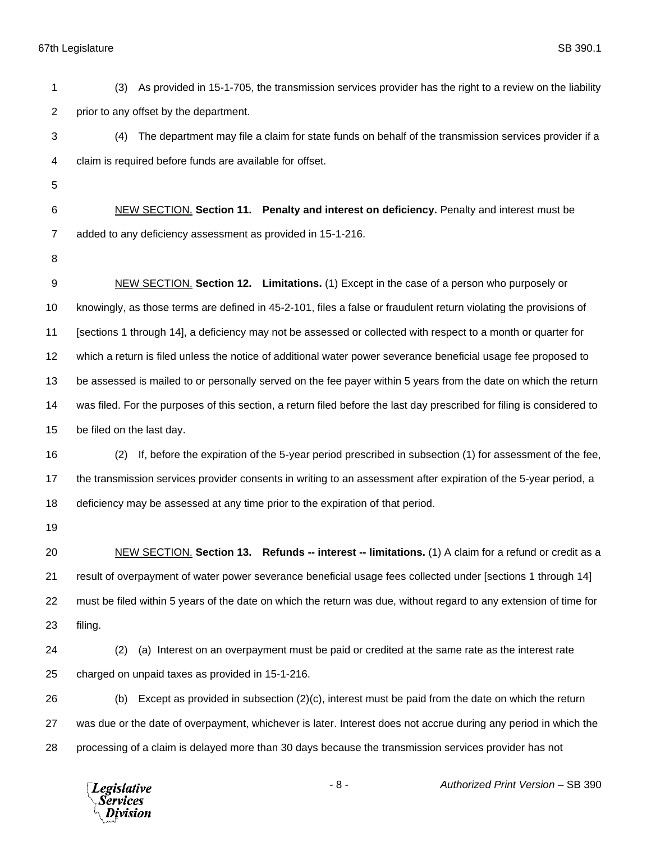| 1  | As provided in 15-1-705, the transmission services provider has the right to a review on the liability<br>(3)          |
|----|------------------------------------------------------------------------------------------------------------------------|
| 2  | prior to any offset by the department.                                                                                 |
| 3  | The department may file a claim for state funds on behalf of the transmission services provider if a<br>(4)            |
| 4  | claim is required before funds are available for offset.                                                               |
| 5  |                                                                                                                        |
| 6  | NEW SECTION. Section 11. Penalty and interest on deficiency. Penalty and interest must be                              |
| 7  | added to any deficiency assessment as provided in 15-1-216.                                                            |
| 8  |                                                                                                                        |
| 9  | NEW SECTION. Section 12. Limitations. (1) Except in the case of a person who purposely or                              |
| 10 | knowingly, as those terms are defined in 45-2-101, files a false or fraudulent return violating the provisions of      |
| 11 | [sections 1 through 14], a deficiency may not be assessed or collected with respect to a month or quarter for          |
| 12 | which a return is filed unless the notice of additional water power severance beneficial usage fee proposed to         |
| 13 | be assessed is mailed to or personally served on the fee payer within 5 years from the date on which the return        |
| 14 | was filed. For the purposes of this section, a return filed before the last day prescribed for filing is considered to |
| 15 | be filed on the last day.                                                                                              |
| 16 | If, before the expiration of the 5-year period prescribed in subsection (1) for assessment of the fee,<br>(2)          |
| 17 | the transmission services provider consents in writing to an assessment after expiration of the 5-year period, a       |
| 18 | deficiency may be assessed at any time prior to the expiration of that period.                                         |
| 19 |                                                                                                                        |
| 20 | NEW SECTION. Section 13. Refunds -- interest -- limitations. (1) A claim for a refund or credit as a                   |
| 21 | result of overpayment of water power severance beneficial usage fees collected under [sections 1 through 14]           |
| 22 | must be filed within 5 years of the date on which the return was due, without regard to any extension of time for      |
| 23 | filing.                                                                                                                |
| 24 | (a) Interest on an overpayment must be paid or credited at the same rate as the interest rate<br>(2)                   |
| 25 | charged on unpaid taxes as provided in 15-1-216.                                                                       |
| 26 | Except as provided in subsection $(2)(c)$ , interest must be paid from the date on which the return<br>(b)             |
| 27 | was due or the date of overpayment, whichever is later. Interest does not accrue during any period in which the        |
| 28 | processing of a claim is delayed more than 30 days because the transmission services provider has not                  |

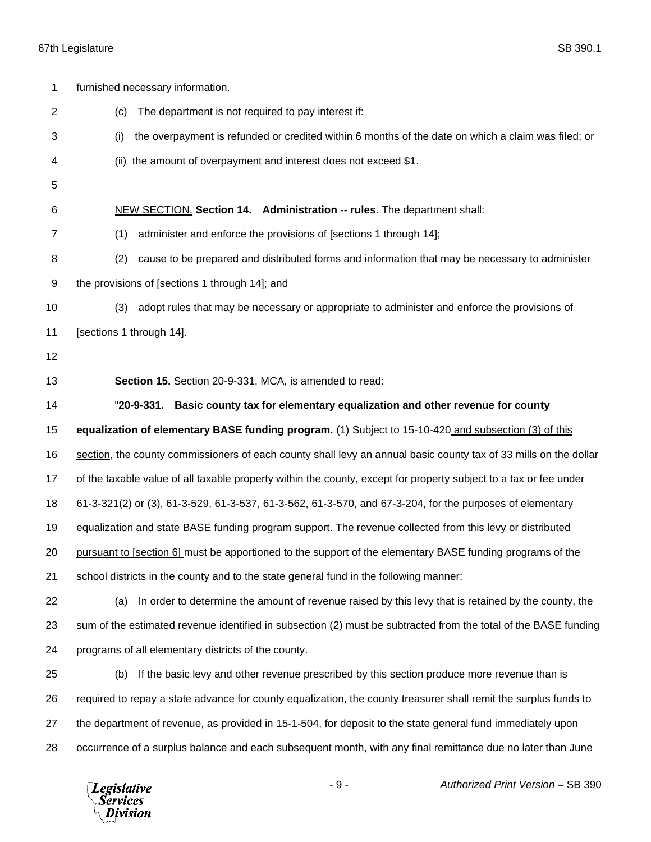| 1              | furnished necessary information.                                                                                  |
|----------------|-------------------------------------------------------------------------------------------------------------------|
| $\overline{2}$ | The department is not required to pay interest if:<br>(c)                                                         |
| 3              | the overpayment is refunded or credited within 6 months of the date on which a claim was filed; or<br>(i)         |
| 4              | (ii) the amount of overpayment and interest does not exceed \$1.                                                  |
| 5              |                                                                                                                   |
| 6              | NEW SECTION. Section 14. Administration -- rules. The department shall:                                           |
| $\overline{7}$ | administer and enforce the provisions of [sections 1 through 14];<br>(1)                                          |
| 8              | cause to be prepared and distributed forms and information that may be necessary to administer<br>(2)             |
| 9              | the provisions of [sections 1 through 14]; and                                                                    |
| 10             | adopt rules that may be necessary or appropriate to administer and enforce the provisions of<br>(3)               |
| 11             | [sections 1 through 14].                                                                                          |
| 12             |                                                                                                                   |
| 13             | Section 15. Section 20-9-331, MCA, is amended to read:                                                            |
| 14             | "20-9-331. Basic county tax for elementary equalization and other revenue for county                              |
| 15             | equalization of elementary BASE funding program. (1) Subject to 15-10-420 and subsection (3) of this              |
| 16             | section, the county commissioners of each county shall levy an annual basic county tax of 33 mills on the dollar  |
| 17             | of the taxable value of all taxable property within the county, except for property subject to a tax or fee under |
| 18             | 61-3-321(2) or (3), 61-3-529, 61-3-537, 61-3-562, 61-3-570, and 67-3-204, for the purposes of elementary          |
| 19             | equalization and state BASE funding program support. The revenue collected from this levy or distributed          |
| 20             | pursuant to [section 6] must be apportioned to the support of the elementary BASE funding programs of the         |
| 21             | school districts in the county and to the state general fund in the following manner:                             |
| 22             | In order to determine the amount of revenue raised by this levy that is retained by the county, the<br>(a)        |
| 23             | sum of the estimated revenue identified in subsection (2) must be subtracted from the total of the BASE funding   |
| 24             | programs of all elementary districts of the county.                                                               |
| 25             | If the basic levy and other revenue prescribed by this section produce more revenue than is<br>(b)                |
| 26             | required to repay a state advance for county equalization, the county treasurer shall remit the surplus funds to  |
| 27             | the department of revenue, as provided in 15-1-504, for deposit to the state general fund immediately upon        |
| 28             | occurrence of a surplus balance and each subsequent month, with any final remittance due no later than June       |
|                |                                                                                                                   |

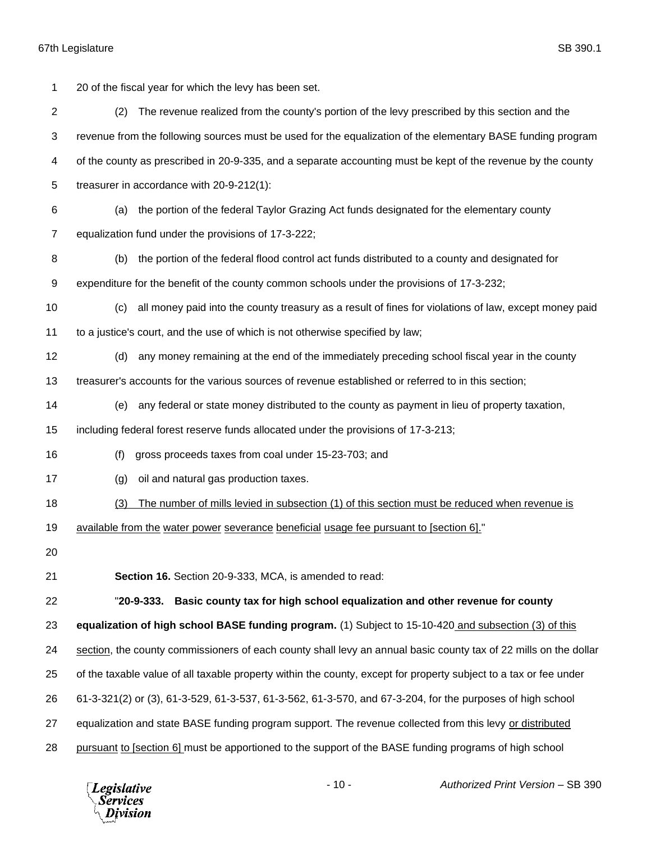| 1              | 20 of the fiscal year for which the levy has been set.                                                            |
|----------------|-------------------------------------------------------------------------------------------------------------------|
| $\overline{2}$ | The revenue realized from the county's portion of the levy prescribed by this section and the<br>(2)              |
| 3              | revenue from the following sources must be used for the equalization of the elementary BASE funding program       |
| 4              | of the county as prescribed in 20-9-335, and a separate accounting must be kept of the revenue by the county      |
| 5              | treasurer in accordance with 20-9-212(1):                                                                         |
| 6              | the portion of the federal Taylor Grazing Act funds designated for the elementary county<br>(a)                   |
| $\overline{7}$ | equalization fund under the provisions of 17-3-222;                                                               |
| 8              | the portion of the federal flood control act funds distributed to a county and designated for<br>(b)              |
| 9              | expenditure for the benefit of the county common schools under the provisions of 17-3-232;                        |
| 10             | all money paid into the county treasury as a result of fines for violations of law, except money paid<br>(c)      |
| 11             | to a justice's court, and the use of which is not otherwise specified by law;                                     |
| 12             | any money remaining at the end of the immediately preceding school fiscal year in the county<br>(d)               |
| 13             | treasurer's accounts for the various sources of revenue established or referred to in this section;               |
| 14             | any federal or state money distributed to the county as payment in lieu of property taxation,<br>(e)              |
| 15             | including federal forest reserve funds allocated under the provisions of 17-3-213;                                |
| 16             | gross proceeds taxes from coal under 15-23-703; and<br>(f)                                                        |
| 17             | oil and natural gas production taxes.<br>(g)                                                                      |
| 18             | The number of mills levied in subsection (1) of this section must be reduced when revenue is<br>(3)               |
| 19             | available from the water power severance beneficial usage fee pursuant to [section 6]."                           |
| 20             |                                                                                                                   |
| 21             | <b>Section 16.</b> Section 20-9-333, MCA, is amended to read:                                                     |
| 22             | "20-9-333. Basic county tax for high school equalization and other revenue for county                             |
| 23             | equalization of high school BASE funding program. (1) Subject to 15-10-420 and subsection (3) of this             |
| 24             | section, the county commissioners of each county shall levy an annual basic county tax of 22 mills on the dollar  |
| 25             | of the taxable value of all taxable property within the county, except for property subject to a tax or fee under |
| 26             | 61-3-321(2) or (3), 61-3-529, 61-3-537, 61-3-562, 61-3-570, and 67-3-204, for the purposes of high school         |
| 27             | equalization and state BASE funding program support. The revenue collected from this levy or distributed          |
| 28             | pursuant to [section 6] must be apportioned to the support of the BASE funding programs of high school            |

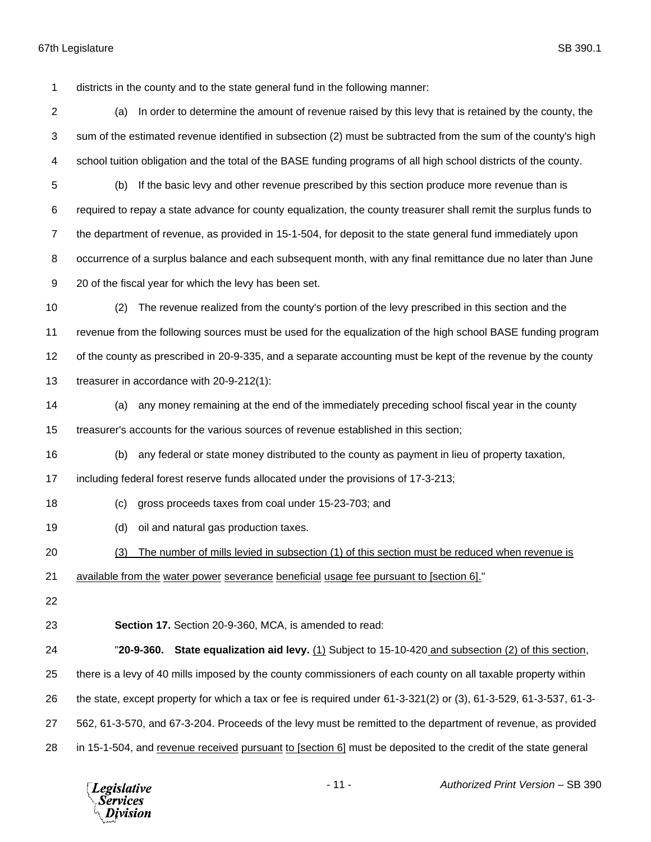districts in the county and to the state general fund in the following manner:

 (a) In order to determine the amount of revenue raised by this levy that is retained by the county, the sum of the estimated revenue identified in subsection (2) must be subtracted from the sum of the county's high school tuition obligation and the total of the BASE funding programs of all high school districts of the county. (b) If the basic levy and other revenue prescribed by this section produce more revenue than is required to repay a state advance for county equalization, the county treasurer shall remit the surplus funds to the department of revenue, as provided in 15-1-504, for deposit to the state general fund immediately upon occurrence of a surplus balance and each subsequent month, with any final remittance due no later than June 20 of the fiscal year for which the levy has been set. (2) The revenue realized from the county's portion of the levy prescribed in this section and the revenue from the following sources must be used for the equalization of the high school BASE funding program of the county as prescribed in 20-9-335, and a separate accounting must be kept of the revenue by the county treasurer in accordance with 20-9-212(1): (a) any money remaining at the end of the immediately preceding school fiscal year in the county treasurer's accounts for the various sources of revenue established in this section; (b) any federal or state money distributed to the county as payment in lieu of property taxation, including federal forest reserve funds allocated under the provisions of 17-3-213; (c) gross proceeds taxes from coal under 15-23-703; and (d) oil and natural gas production taxes. (3) The number of mills levied in subsection (1) of this section must be reduced when revenue is available from the water power severance beneficial usage fee pursuant to [section 6]." **Section 17.** Section 20-9-360, MCA, is amended to read: "**20-9-360. State equalization aid levy.** (1) Subject to 15-10-420 and subsection (2) of this section, there is a levy of 40 mills imposed by the county commissioners of each county on all taxable property within the state, except property for which a tax or fee is required under 61-3-321(2) or (3), 61-3-529, 61-3-537, 61-3- 562, 61-3-570, and 67-3-204. Proceeds of the levy must be remitted to the department of revenue, as provided in 15-1-504, and revenue received pursuant to [section 6] must be deposited to the credit of the state general